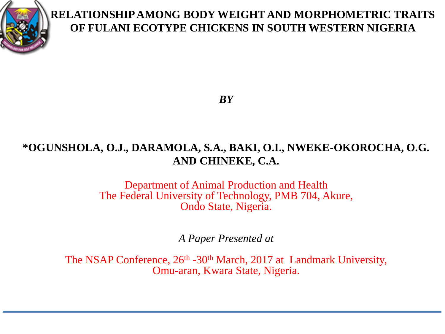

#### **RELATIONSHIP AMONG BODY WEIGHT AND MORPHOMETRIC TRAITS OF FULANI ECOTYPE CHICKENS IN SOUTH WESTERN NIGERIA**

*BY*

#### **\*OGUNSHOLA, O.J., DARAMOLA, S.A., BAKI, O.I., NWEKE-OKOROCHA, O.G. AND CHINEKE, C.A.**

Department of Animal Production and Health The Federal University of Technology, PMB 704, Akure, Ondo State, Nigeria.

*A Paper Presented at*

The NSAP Conference,  $26<sup>th</sup> - 30<sup>th</sup>$  March, 2017 at Landmark University, Omu-aran, Kwara State, Nigeria.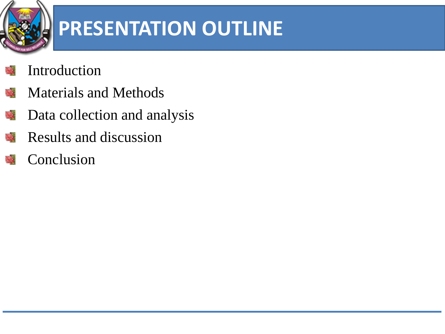

## **PRESENTATION OUTLINE**

- Introduction
- Materials and Methods 破
- Data collection and analysis 號
- Results and discussion 豒
- Conclusion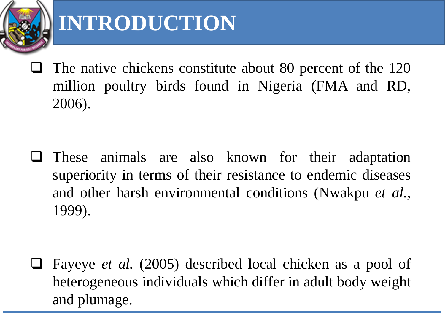

### **INTRODUCTION**

 $\Box$  The native chickens constitute about 80 percent of the 120 million poultry birds found in Nigeria (FMA and RD, 2006).

 $\Box$  These animals are also known for their adaptation superiority in terms of their resistance to endemic diseases and other harsh environmental conditions (Nwakpu *et al.,* 1999).

 Fayeye *et al.* (2005) described local chicken as a pool of heterogeneous individuals which differ in adult body weight and plumage.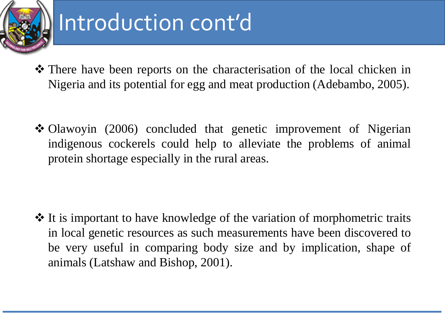

## Introduction cont'd

- There have been reports on the characterisation of the local chicken in Nigeria and its potential for egg and meat production (Adebambo, 2005).
- Olawoyin (2006) concluded that genetic improvement of Nigerian indigenous cockerels could help to alleviate the problems of animal protein shortage especially in the rural areas.

 It is important to have knowledge of the variation of morphometric traits in local genetic resources as such measurements have been discovered to be very useful in comparing body size and by implication, shape of animals (Latshaw and Bishop, 2001).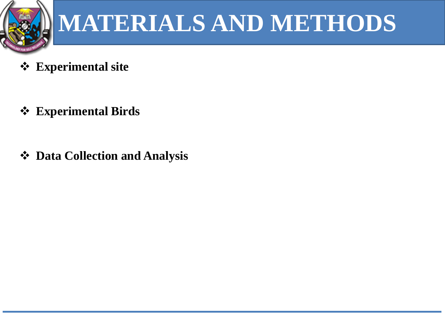

# **MATERIALS AND METHODS**

- **Experimental site**
- **Experimental Birds**
- **Data Collection and Analysis**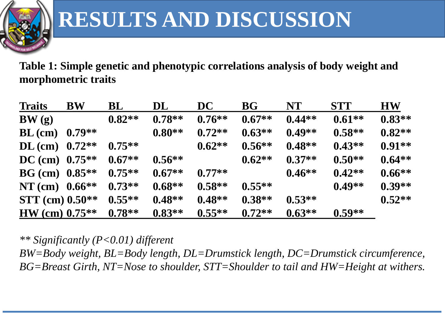

**Table 1: Simple genetic and phenotypic correlations analysis of body weight and morphometric traits**

| <b>Traits</b>       | <b>BW</b> | BL       | DL       | DC        | BG       | <b>NT</b> | <b>STT</b> | <b>HW</b> |
|---------------------|-----------|----------|----------|-----------|----------|-----------|------------|-----------|
| BW(g)               |           | $0.82**$ | $0.78**$ | $0.76**$  | $0.67**$ | $0.44**$  | $0.61**$   | $0.83**$  |
| $BL$ (cm)           | $0.79**$  |          | $0.80**$ | $0.72**$  | $0.63**$ | $0.49**$  | $0.58**$   | $0.82**$  |
| DL (cm) $0.72**$    |           | $0.75**$ |          | $0.62**$  | $0.56**$ | $0.48**$  | $0.43**$   | $0.91**$  |
| DC (cm) $0.75**$    |           | $0.67**$ | $0.56**$ |           | $0.62**$ | $0.37**$  | $0.50**$   | $0.64**$  |
| $BG$ (cm) $0.85**$  |           | $0.75**$ | $0.67**$ | $0.77**$  |          | $0.46**$  | $0.42**$   | $0.66**$  |
| NT (cm) $0.66**$    |           | $0.73**$ | $0.68**$ | $0.58**$  | $0.55**$ |           | $0.49**$   | $0.39**$  |
| $STT$ (cm) $0.50**$ |           | $0.55**$ | $0.48**$ | $0.48**$  | $0.38**$ | $0.53**$  |            | $0.52**$  |
| $HW (cm) 0.75**$    |           | $0.78**$ | $0.83**$ | $0.55***$ | $0.72**$ | $0.63**$  | $0.59**$   |           |

*\*\* Significantly (P<0.01) different*

*BW=Body weight, BL=Body length, DL=Drumstick length, DC=Drumstick circumference, BG=Breast Girth, NT=Nose to shoulder, STT=Shoulder to tail and HW=Height at withers.*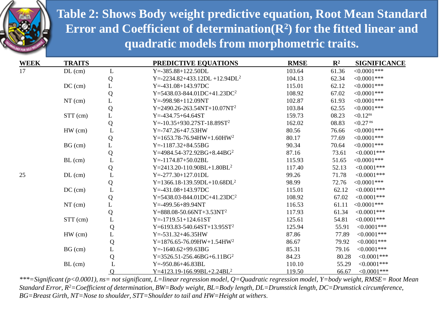

**Table 2: Shows Body weight predictive equation, Root Mean Standard Error and Coefficient of determination(R<sup>2</sup> ) for the fitted linear and quadratic models from morphometric traits.**

| <b>WEEK</b> | <b>TRAITS</b> |                | PREDICTIVE EQUATIONS                    | <b>RMSE</b> | $\mathbf{R}^2$ | <b>SIGNIFICANCE</b>    |
|-------------|---------------|----------------|-----------------------------------------|-------------|----------------|------------------------|
| 17          | $DL$ (cm)     | L              | $Y = -385.88 + 122.50DL$                | 103.64      | 61.36          | $< 0.0001$ ***         |
|             |               | Q              | $Y = -2234.82 + 433.12DL + 12.94DL2$    | 104.13      | 62.34          | $<0.0001***$           |
|             | $DC$ (cm)     | $\mathbf L$    | $Y = -431.08 + 143.97DC$                | 115.01      | 62.12          | $<0.0001***$           |
|             |               | Q              | $Y=5438.03-844.01DC+41.23DC2$           | 108.92      | 67.02          | $<0.0001***$           |
|             | $NT$ (cm)     | L              | $Y = -998.98 + 112.09NT$                | 102.87      | 61.93          | $<0.0001***$           |
|             |               | ${\bf Q}$      | Y=2490.26-263.54NT+10.07NT <sup>2</sup> | 103.84      | 62.55          | $<0.0001***$           |
|             | STT (cm)      | L              | $Y = -434.75 + 64.64ST$                 | 159.73      | 08.23          | $< 0.12$ ns            |
|             |               | Q              | $Y = -10.35 + 930.27ST - 18.89ST^2$     | 162.02      | 08.83          | $< 0.27$ <sup>ns</sup> |
|             | $HW$ (cm)     | $\mathbf L$    | $Y = -747.26 + 47.53$ HW                | 80.56       | 76.66          | $<0.0001***$           |
|             |               | ${\bf Q}$      | Y=1653.78-76.94HW+1.60HW <sup>2</sup>   | 80.17       | 77.69          | $< 0.0001$ ***         |
|             | BG (cm)       | L              | $Y = -1187.32 + 84.55BG$                | 90.34       | 70.64          | $<0.0001***$           |
|             |               | ${\bf Q}$      | Y=4984.54-372.92BG+8.44BG <sup>2</sup>  | 87.16       | 73.61          | $<0.0001***$           |
|             | $BL$ (cm)     | $\mathbf L$    | $Y = -1174.87 + 50.02BL$                | 115.93      | 51.65          | $<0.0001***$           |
|             |               | Q              | $Y=2413.20-110.90BL+1.80BL2$            | 117.40      | 52.13          | $< 0.0001$ ***         |
| 25          | $DL$ (cm)     | L              | $Y = -277.30 + 127.01 D L$              | 99.26       | 71.78          | $<0.0001***$           |
|             |               | Q              | Y=1366.18-139.59DL+10.68DL <sup>2</sup> | 98.99       | 72.76          | $<0.0001***$           |
|             | $DC$ (cm)     | $\overline{L}$ | $Y = -431.08 + 143.97DC$                | 115.01      | 62.12          | $< 0.0001$ ***         |
|             |               | ${\bf Q}$      | $Y=5438.03-844.01DC+41.23DC2$           | 108.92      | 67.02          | $< 0.0001$ ***         |
|             | $NT$ (cm)     | L              | $Y = -499.56 + 89.94NT$                 | 116.53      | 61.11          | $<0.0001***$           |
|             |               | ${\bf Q}$      | $Y=888.08-50.66NT+3.53NT2$              | 117.93      | 61.34          | $<0.0001***$           |
|             | STT (cm)      | L              | $Y = -1719.51 + 124.61ST$               | 125.61      | 54.81          | $< 0.0001$ ***         |
|             |               | Q              | Y=6193.83-540.64ST+13.95ST <sup>2</sup> | 125.94      | 55.91          | $<0.0001***$           |
|             | $HW$ (cm)     | L              | $Y = -531.32 + 46.35$ HW                | 87.86       | 77.89          | $<0.0001***$           |
|             |               | ${\bf Q}$      | Y=1876.65-76.09HW+1.54HW <sup>2</sup>   | 86.67       | 79.92          | $<0.0001***$           |
|             | BG (cm)       | L              | $Y = -1640.62 + 99.63BG$                | 85.31       | 79.16          | $< 0.0001$ ***         |
|             |               | ${\bf Q}$      | $Y=3526.51-256.46BG+6.11BG2$            | 84.23       | 80.28          | $<0.0001***$           |
|             | $BL$ (cm)     | $\mathbf{L}$   | $Y = -950.86 + 46.83BL$                 | 110.10      | 55.29          | $< 0.0001$ ***         |
|             |               | $\overline{Q}$ | $Y=4123.19-166.99BL+2.24BL2$            | 119.50      | 66.67          | $<0.0001***$           |

*\*\*\*=Significant (p<0.0001), ns= not significant, L=linear regression model, Q=Quadratic regression model, Y=body weight, RMSE= Root Mean Standard Error, R<sup>2</sup>=Coefficient of determination, BW=Body weight, BL=Body length, DL=Drumstick length, DC=Drumstick circumference, BG=Breast Girth, NT=Nose to shoulder, STT=Shoulder to tail and HW=Height at withers.*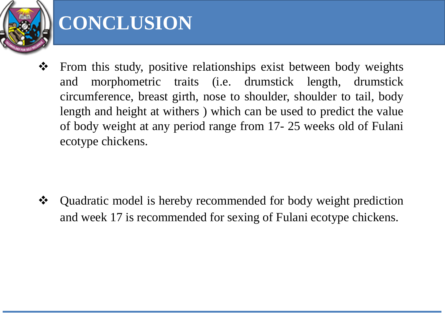

### **CONCLUSION**

 $\triangle$  From this study, positive relationships exist between body weights and morphometric traits (i.e. drumstick length, drumstick circumference, breast girth, nose to shoulder, shoulder to tail, body length and height at withers ) which can be used to predict the value of body weight at any period range from 17- 25 weeks old of Fulani ecotype chickens.

 Quadratic model is hereby recommended for body weight prediction and week 17 is recommended for sexing of Fulani ecotype chickens.